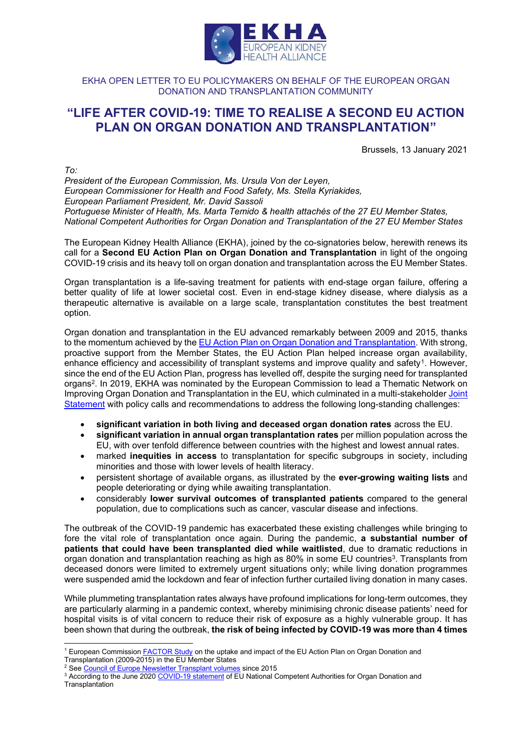

# EKHA OPEN LETTER TO EU POLICYMAKERS ON BEHALF OF THE EUROPEAN ORGAN DONATION AND TRANSPLANTATION COMMUNITY

# **"LIFE AFTER COVID-19: TIME TO REALISE A SECOND EU ACTION PLAN ON ORGAN DONATION AND TRANSPLANTATION"**

Brussels, 13 January 2021

*To:*

*President of the European Commission, Ms. Ursula Von der Leyen, European Commissioner for Health and Food Safety, Ms. Stella Kyriakides, European Parliament President, Mr. David Sassoli Portuguese Minister of Health, Ms. Marta Temido & health attachés of the 27 EU Member States, National Competent Authorities for Organ Donation and Transplantation of the 27 EU Member States*

The European Kidney Health Alliance (EKHA), joined by the co-signatories below, herewith renews its call for a **Second EU Action Plan on Organ Donation and Transplantation** in light of the ongoing COVID-19 crisis and its heavy toll on organ donation and transplantation across the EU Member States.

Organ transplantation is a life-saving treatment for patients with end-stage organ failure, offering a better quality of life at lower societal cost. Even in end-stage kidney disease, where dialysis as a therapeutic alternative is available on a large scale, transplantation constitutes the best treatment option.

Organ donation and transplantation in the EU advanced remarkably between 2009 and 2015, thanks to the momentum achieved by the EU Action Plan on Organ Donation and Transplantation. With strong, proactive support from the Member States, the EU Action Plan helped increase organ availability, enhance efficiency and accessibility of transplant systems and improve quality and safety<sup>1</sup>. However, since the end of the EU Action Plan, progress has levelled off, despite the surging need for transplanted organs2. In 2019, EKHA was nominated by the European Commission to lead a Thematic Network on Improving Organ Donation and Transplantation in the EU, which culminated in a multi-stakeholder Joint Statement with policy calls and recommendations to address the following long-standing challenges:

- **significant variation in both living and deceased organ donation rates** across the EU.
- **significant variation in annual organ transplantation rates** per million population across the EU, with over tenfold difference between countries with the highest and lowest annual rates.
- marked **inequities in access** to transplantation for specific subgroups in society, including minorities and those with lower levels of health literacy.
- persistent shortage of available organs, as illustrated by the **ever-growing waiting lists** and people deteriorating or dying while awaiting transplantation.
- considerably **lower survival outcomes of transplanted patients** compared to the general population, due to complications such as cancer, vascular disease and infections.

The outbreak of the COVID-19 pandemic has exacerbated these existing challenges while bringing to fore the vital role of transplantation once again. During the pandemic, **a substantial number of patients that could have been transplanted died while waitlisted**, due to dramatic reductions in organ donation and transplantation reaching as high as 80% in some EU countries<sup>3</sup>. Transplants from deceased donors were limited to extremely urgent situations only; while living donation programmes were suspended amid the lockdown and fear of infection further curtailed living donation in many cases.

While plummeting transplantation rates always have profound implications for long-term outcomes, they are particularly alarming in a pandemic context, whereby minimising chronic disease patients' need for hospital visits is of vital concern to reduce their risk of exposure as a highly vulnerable group. It has been shown that during the outbreak, **the risk of being infected by COVID-19 was more than 4 times** 

<sup>1</sup> European Commission FACTOR Study on the uptake and impact of the EU Action Plan on Organ Donation and Transplantation (2009-2015) in the EU Member States

<sup>&</sup>lt;sup>2</sup> See Council of Europe Newsletter Transplant volumes since 2015

<sup>&</sup>lt;sup>3</sup> According to the June 2020 COVID-19 statement of EU National Competent Authorities for Organ Donation and **Transplantation**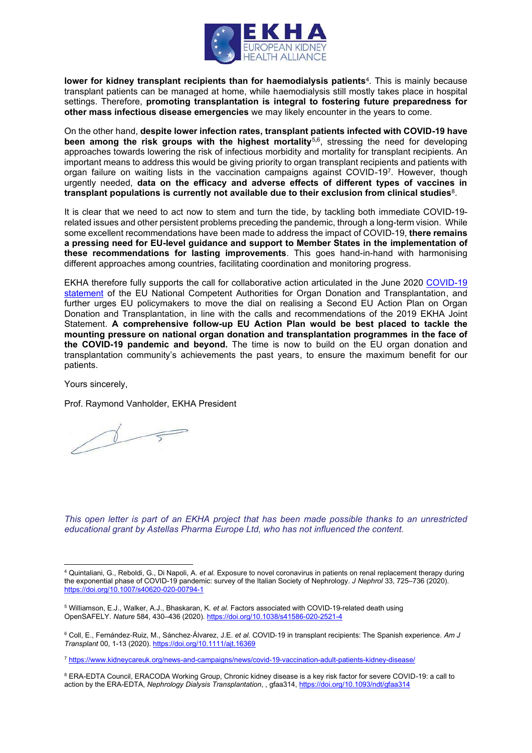

**lower for kidney transplant recipients than for haemodialysis patients**4. This is mainly because transplant patients can be managed at home, while haemodialysis still mostly takes place in hospital settings. Therefore, **promoting transplantation is integral to fostering future preparedness for other mass infectious disease emergencies** we may likely encounter in the years to come.

On the other hand, **despite lower infection rates, transplant patients infected with COVID-19 have been among the risk groups with the highest mortality**<sup>5</sup>**,**6, stressing the need for developing approaches towards lowering the risk of infectious morbidity and mortality for transplant recipients. An important means to address this would be giving priority to organ transplant recipients and patients with organ failure on waiting lists in the vaccination campaigns against COVID-197. However, though urgently needed, **data on the efficacy and adverse effects of different types of vaccines in transplant populations is currently not available due to their exclusion from clinical studies**8.

It is clear that we need to act now to stem and turn the tide, by tackling both immediate COVID-19 related issues and other persistent problems preceding the pandemic, through a long-term vision. While some excellent recommendations have been made to address the impact of COVID-19, **there remains a pressing need for EU-level guidance and support to Member States in the implementation of these recommendations for lasting improvements**. This goes hand-in-hand with harmonising different approaches among countries, facilitating coordination and monitoring progress.

EKHA therefore fully supports the call for collaborative action articulated in the June 2020 COVID-19 statement of the EU National Competent Authorities for Organ Donation and Transplantation, and further urges EU policymakers to move the dial on realising a Second EU Action Plan on Organ Donation and Transplantation, in line with the calls and recommendations of the 2019 EKHA Joint Statement. **A comprehensive follow-up EU Action Plan would be best placed to tackle the mounting pressure on national organ donation and transplantation programmes in the face of the COVID-19 pandemic and beyond.** The time is now to build on the EU organ donation and transplantation community's achievements the past years, to ensure the maximum benefit for our patients.

Yours sincerely,

Prof. Raymond Vanholder, EKHA President

 $\Delta$ 

*This open letter is part of an EKHA project that has been made possible thanks to an unrestricted educational grant by Astellas Pharma Europe Ltd, who has not influenced the content.*

<sup>4</sup> Quintaliani, G., Reboldi, G., Di Napoli, A. *et al.* Exposure to novel coronavirus in patients on renal replacement therapy during the exponential phase of COVID-19 pandemic: survey of the Italian Society of Nephrology. *J Nephrol* 33, 725–736 (2020). https://doi.org/10.1007/s40620-020-00794-1

<sup>5</sup> Williamson, E.J., Walker, A.J., Bhaskaran, K. *et al.* Factors associated with COVID-19-related death using OpenSAFELY. *Nature* 584, 430–436 (2020). https://doi.org/10.1038/s41586-020-2521-4

<sup>6</sup> Coll, E., Fernández‐Ruiz, M., Sánchez‐Álvarez, J.E. *et al.* COVID‐19 in transplant recipients: The Spanish experience. *Am J Transplant* 00, 1-13 (2020). https://doi.org/10.1111/ajt.16369

<sup>7</sup> https://www.kidneycareuk.org/news-and-campaigns/news/covid-19-vaccination-adult-patients-kidney-disease/

<sup>8</sup> ERA-EDTA Council, ERACODA Working Group, Chronic kidney disease is a key risk factor for severe COVID-19: a call to action by the ERA-EDTA, *Nephrology Dialysis Transplantation*, , gfaa314, https://doi.org/10.1093/ndt/gfaa314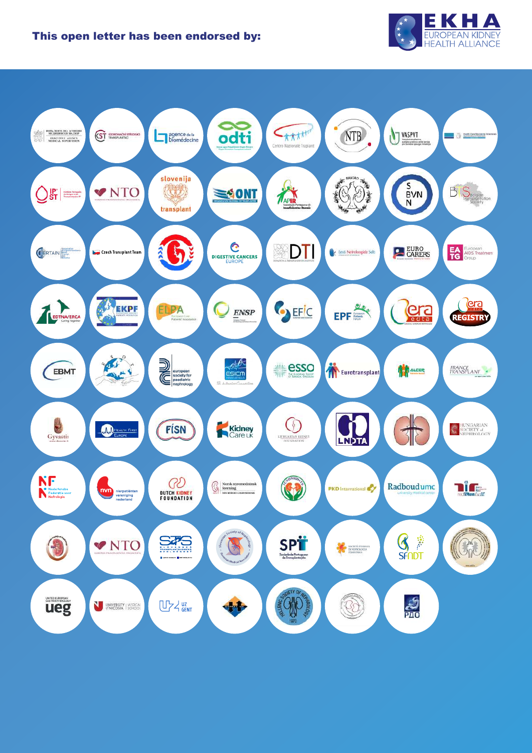

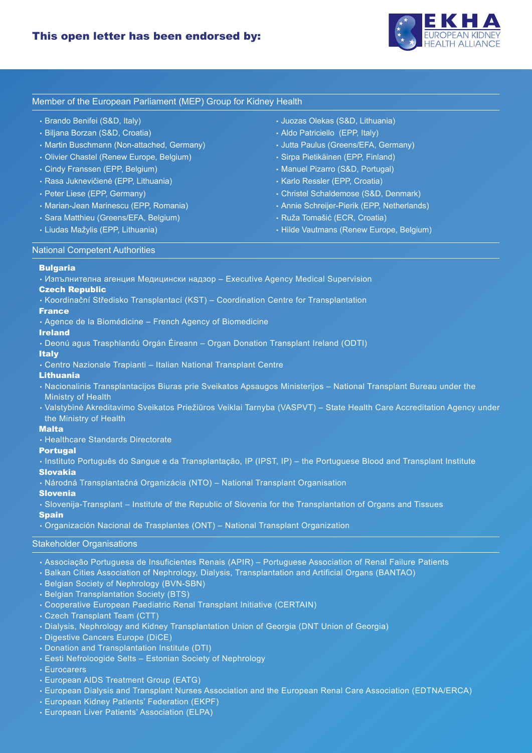

# Member of the European Parliament (MEP) Group for Kidney Health

- Brando Benifei (S&D, Italy)
- Biljana Borzan (S&D, Croatia)
- Martin Buschmann (Non-attached, Germany)
- Olivier Chastel (Renew Europe, Belgium)
- Cindy Franssen (EPP, Belgium)
- Rasa Juknevičienė (EPP, Lithuania)
- Peter Liese (EPP, Germany)
- Marian-Jean Marinescu (EPP, Romania)
- Sara Matthieu (Greens/EFA, Belgium)
- Liudas Mažylis (EPP, Lithuania)
- Juozas Olekas (S&D, Lithuania)
- Aldo Patriciello (EPP, Italy)
- Jutta Paulus (Greens/EFA, Germany)
- Sirpa Pietikäinen (EPP, Finland)
- Manuel Pizarro (S&D, Portugal)
- Karlo Ressler (EPP, Croatia)
- Christel Schaldemose (S&D, Denmark)
- Annie Schreijer-Pierik (EPP, Netherlands)
- Ruža Tomašić (ECR, Croatia)
- Hilde Vautmans (Renew Europe, Belgium)

## National Competent Authorities

#### Bulgaria

• Изпълнителна агенция Медицински надзор – Executive Agency Medical Supervision

# Czech Republic

• Koordinační Středisko Transplantací (KST) – Coordination Centre for Transplantation

# France

• Agence de la Biomédicine – French Agency of Biomedicine

#### Ireland

• Deonú agus Trasphlandú Orgán Éireann – Organ Donation Transplant Ireland (ODTI)

# **Italy**

• Centro Nazionale Trapianti – Italian National Transplant Centre

# Lithuania

- Nacionalinis Transplantacijos Biuras prie Sveikatos Apsaugos Ministerijos National Transplant Bureau under the Ministry of Health
- Valstybinė Akreditavimo Sveikatos Priežiūros Veiklai Tarnyba (VASPVT) State Health Care Accreditation Agency under the Ministry of Health

# Malta

• Healthcare Standards Directorate

# **Portugal**

• Instituto Português do Sangue e da Transplantação, IP (IPST, IP) – the Portuguese Blood and Transplant Institute Slovakia

• Národná Transplantačná Organizácia (NTO) – National Transplant Organisation

#### Slovenia

• Slovenija-Transplant – Institute of the Republic of Slovenia for the Transplantation of Organs and Tissues

# **Spain**

• Organización Nacional de Trasplantes (ONT) – National Transplant Organization

#### Stakeholder Organisations

- Associação Portuguesa de Insuficientes Renais (APIR) Portuguese Association of Renal Failure Patients
- Balkan Cities Association of Nephrology, Dialysis, Transplantation and Artificial Organs (BANTAO)
- Belgian Society of Nephrology (BVN-SBN)
- Belgian Transplantation Society (BTS)
- Cooperative European Paediatric Renal Transplant Initiative (CERTAIN)
- Czech Transplant Team (CTT)
- Dialysis, Nephrology and Kidney Transplantation Union of Georgia (DNT Union of Georgia)
- Digestive Cancers Europe (DiCE)
- Donation and Transplantation Institute (DTI)
- Eesti Nefroloogide Selts Estonian Society of Nephrology
- Eurocarers
- European AIDS Treatment Group (EATG)
- European Dialysis and Transplant Nurses Association and the European Renal Care Association (EDTNA/ERCA)
- European Kidney Patients' Federation (EKPF)
- European Liver Patients' Association (ELPA)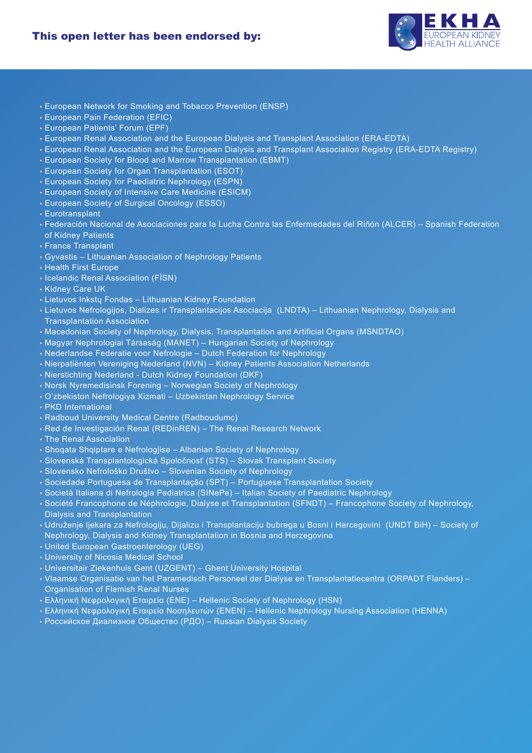

- European Network for Smoking and Tobacco Prevention (ENSP)
- European Pain Federation (EFIC)
- European Patients' Forum (EPF)
- European Renal Association and the European Dialysis and Transplant Association (ERA-EDTA)
- European Renal Association and the European Dialysis and Transplant Association Registry (ERA-EDTA Registry)
- European Society for Blood and Marrow Transplantation (EBMT)
- European Society for Organ Transplantation (ESOT)
- European Society for Paediatric Nephrology (ESPN)
- European Society of Intensive Care Medicine (ESICM)
- European Society of Surgical Oncology (ESSO)
- Eurotransplant
- Federación Nacional de Asociaciones para la Lucha Contra las Enfermedades del Riñón (ALCER) Spanish Federation of Kidney Patients
- France Transplant
- Gyvastis Lithuanian Association of Nephrology Patients
- Health First Europe
- Icelandic Renal Association (FÍSN)
- Kidney Care UK
- Lietuvos Inkstų Fondas Lithuanian Kidney Foundation
- Lietuvos Nefrologijos, Dializes ir Transplantacijos Asociacija (LNDTA) Lithuanian Nephrology, Dialysis and Transplantation Association
- Macedonian Society of Nephrology, Dialysis, Transplantation and Artificial Organs (MSNDTAO)
- Magyar Nephrologiai Társaság (MANET) Hungarian Society of Nephrology
- Nederlandse Federatie voor Nefrologie Dutch Federation for Nephrology
- Nierpatiënten Vereniging Nederland (NVN) Kidney Patients Association Netherlands
- Nierstichting Nederland Dutch Kidney Foundation (DKF)
- Norsk Nyremedisinsk Forening Norwegian Society of Nephrology
- O'zbekiston Nefrologiya Xizmati Uzbekistan Nephrology Service
- PKD International
- Radboud University Medical Centre (Radboudumc)
- Red de Investigación Renal (REDinREN) The Renal Research Network
- The Renal Association
- Shoqata Shqiptare e Nefrologjise Albanian Society of Nephrology
- Slovenská Transplantologická Spoločnosť (STS) Slovak Transplant Society
- Slovensko Nefrološko Društvo Slovenian Society of Nephrology
- Sociedade Portuguesa de Transplantação (SPT) Portuguese Transplantation Society
- Società Italiana di Nefrologia Pediatrica (SINePe) Italian Society of Paediatric Nephrology
- Société Francophone de Néphrologie, Dialyse et Transplantation (SFNDT) Francophone Society of Nephrology, Dialysis and Transplantation
- Udruženje ljekara za Nefrologiju, Dijalizu i Transplantaciju bubrega u Bosni i Hercegovini (UNDT BiH) Society of Nephrology, Dialysis and Kidney Transplantation in Bosnia and Herzegovina
- United European Gastroenterology (UEG)
- University of Nicosia Medical School
- Universitair Ziekenhuis Gent (UZGENT) Ghent University Hospital
- Vlaamse Organisatie van het Paramedisch Personeel der Dialyse en Transplantatiecentra (ORPADT Flanders) Organisation of Flemish Renal Nurses
- Ελληνική Νεφρολογική Εταιρεία (ENE) Hellenic Society of Nephrology (HSN)
- Ελληνική Νεφρολογική Εταιρεία Νοσηλευτών (ENEN) Hellenic Nephrology Nursing Association (HENNA)
- Российское Диализное Общество (PДО) Russian Dialysis Society